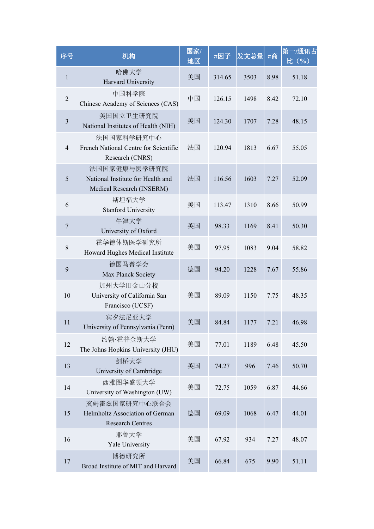| 序号              | 机构                                                                             | 国家/<br>地区 | $\pi \boxtimes \mathcal{F}$ | 发文总量 | $π$ 商 | 第一/通讯占<br>比(%) |  |
|-----------------|--------------------------------------------------------------------------------|-----------|-----------------------------|------|-------|----------------|--|
| $\mathbf{1}$    | 哈佛大学<br>Harvard University                                                     | 美国        | 314.65                      | 3503 | 8.98  | 51.18          |  |
| $\sqrt{2}$      | 中国科学院<br>Chinese Academy of Sciences (CAS)                                     | 中国        | 126.15                      | 1498 | 8.42  | 72.10          |  |
| $\mathfrak{Z}$  | 美国国立卫生研究院<br>National Institutes of Health (NIH)                               | 美国        | 124.30                      | 1707 | 7.28  | 48.15          |  |
| $\overline{4}$  | 法国国家科学研究中心<br>French National Centre for Scientific<br>Research (CNRS)         | 法国        | 120.94                      | 1813 | 6.67  | 55.05          |  |
| $5\overline{)}$ | 法国国家健康与医学研究院<br>National Institute for Health and<br>Medical Research (INSERM) | 法国        | 116.56                      | 1603 | 7.27  | 52.09          |  |
| 6               | 斯坦福大学<br><b>Stanford University</b>                                            | 美国        | 113.47                      | 1310 | 8.66  | 50.99          |  |
| $\overline{7}$  | 牛津大学<br>University of Oxford                                                   | 英国        | 98.33                       | 1169 | 8.41  | 50.30          |  |
| $8\,$           | 霍华德休斯医学研究所<br>Howard Hughes Medical Institute                                  | 美国        | 97.95                       | 1083 | 9.04  | 58.82          |  |
| 9               | 德国马普学会<br>Max Planck Society                                                   | 德国        | 94.20                       | 1228 | 7.67  | 55.86          |  |
| 10              | 加州大学旧金山分校<br>University of California San<br>Francisco (UCSF)                  | 美国        | 89.09                       | 1150 | 7.75  | 48.35          |  |
| 11              | 宾夕法尼亚大学<br>University of Pennsylvania (Penn)                                   | 美国        | 84.84                       | 1177 | 7.21  | 46.98          |  |
| 12              | 约翰·霍普金斯大学<br>The Johns Hopkins University (JHU)                                | 美国        | 77.01                       | 1189 | 6.48  | 45.50          |  |
| 13              | 剑桥大学<br>University of Cambridge                                                | 英国        | 74.27                       | 996  | 7.46  | 50.70          |  |
| 14              | 西雅图华盛顿大学<br>University of Washington (UW)                                      | 美国        | 72.75                       | 1059 | 6.87  | 44.66          |  |
| 15              | 亥姆霍兹国家研究中心联合会<br>Helmholtz Association of German<br><b>Research Centres</b>    | 德国        | 69.09                       | 1068 | 6.47  | 44.01          |  |
| 16              | 耶鲁大学<br>Yale University                                                        | 美国        | 67.92                       | 934  | 7.27  | 48.07          |  |
| 17              | 博德研究所<br>Broad Institute of MIT and Harvard                                    | 美国        | 66.84                       | 675  | 9.90  | 51.11          |  |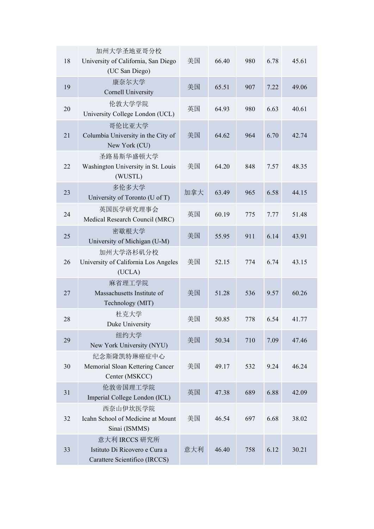| 18 | 加州大学圣地亚哥分校<br>University of California, San Diego<br>(UC San Diego)             | 美国  | 66.40 | 980 | 6.78 | 45.61 |
|----|---------------------------------------------------------------------------------|-----|-------|-----|------|-------|
| 19 | 康奈尔大学<br><b>Cornell University</b>                                              | 美国  | 65.51 | 907 | 7.22 | 49.06 |
| 20 | 伦敦大学学院<br>University College London (UCL)                                       | 英国  | 64.93 | 980 | 6.63 | 40.61 |
| 21 | 哥伦比亚大学<br>Columbia University in the City of<br>New York (CU)                   | 美国  | 64.62 | 964 | 6.70 | 42.74 |
| 22 | 圣路易斯华盛顿大学<br>Washington University in St. Louis<br>(WUSTL)                      | 美国  | 64.20 | 848 | 7.57 | 48.35 |
| 23 | 多伦多大学<br>University of Toronto (U of T)                                         | 加拿大 | 63.49 | 965 | 6.58 | 44.15 |
| 24 | 英国医学研究理事会<br>Medical Research Council (MRC)                                     | 英国  | 60.19 | 775 | 7.77 | 51.48 |
| 25 | 密歇根大学<br>University of Michigan (U-M)                                           | 美国  | 55.95 | 911 | 6.14 | 43.91 |
| 26 | 加州大学洛杉矶分校<br>University of California Los Angeles<br>(UCLA)                     | 美国  | 52.15 | 774 | 6.74 | 43.15 |
| 27 | 麻省理工学院<br>Massachusetts Institute of<br>Technology (MIT)                        | 美国  | 51.28 | 536 | 9.57 | 60.26 |
| 28 | 杜克大学<br>Duke University                                                         | 美国  | 50.85 | 778 | 6.54 | 41.77 |
| 29 | 纽约大学<br>New York University (NYU)                                               | 美国  | 50.34 | 710 | 7.09 | 47.46 |
| 30 | 纪念斯隆凯特琳癌症中心<br>Memorial Sloan Kettering Cancer<br>Center (MSKCC)                | 美国  | 49.17 | 532 | 9.24 | 46.24 |
| 31 | 伦敦帝国理工学院<br>Imperial College London (ICL)                                       | 英国  | 47.38 | 689 | 6.88 | 42.09 |
| 32 | 西奈山伊坎医学院<br>Icahn School of Medicine at Mount<br>Sinai (ISMMS)                  | 美国  | 46.54 | 697 | 6.68 | 38.02 |
| 33 | 意大利 IRCCS 研究所<br>Istituto Di Ricovero e Cura a<br>Carattere Scientifico (IRCCS) | 意大利 | 46.40 | 758 | 6.12 | 30.21 |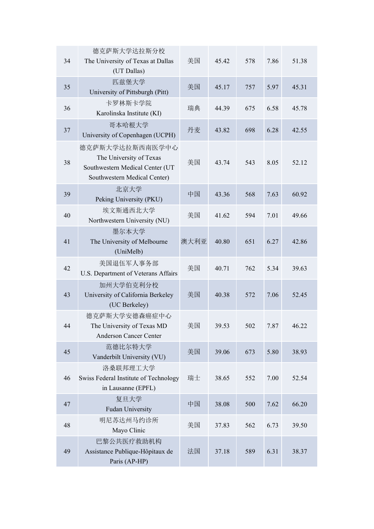| 34 | 德克萨斯大学达拉斯分校<br>The University of Texas at Dallas<br>(UT Dallas)                                               | 美国   | 45.42 | 578 | 7.86 | 51.38 |
|----|---------------------------------------------------------------------------------------------------------------|------|-------|-----|------|-------|
| 35 | 匹兹堡大学<br>University of Pittsburgh (Pitt)                                                                      | 美国   | 45.17 | 757 | 5.97 | 45.31 |
| 36 | 卡罗林斯卡学院<br>Karolinska Institute (KI)                                                                          | 瑞典   | 44.39 | 675 | 6.58 | 45.78 |
| 37 | 哥本哈根大学<br>University of Copenhagen (UCPH)                                                                     | 丹麦   | 43.82 | 698 | 6.28 | 42.55 |
| 38 | 德克萨斯大学达拉斯西南医学中心<br>The University of Texas<br>Southwestern Medical Center (UT<br>Southwestern Medical Center) | 美国   | 43.74 | 543 | 8.05 | 52.12 |
| 39 | 北京大学<br>Peking University (PKU)                                                                               | 中国   | 43.36 | 568 | 7.63 | 60.92 |
| 40 | 埃文斯通西北大学<br>Northwestern University (NU)                                                                      | 美国   | 41.62 | 594 | 7.01 | 49.66 |
| 41 | 墨尔本大学<br>The University of Melbourne<br>(UniMelb)                                                             | 澳大利亚 | 40.80 | 651 | 6.27 | 42.86 |
| 42 | 美国退伍军人事务部<br>U.S. Department of Veterans Affairs                                                              | 美国   | 40.71 | 762 | 5.34 | 39.63 |
| 43 | 加州大学伯克利分校<br>University of California Berkeley<br>(UC Berkeley)                                               | 美国   | 40.38 | 572 | 7.06 | 52.45 |
| 44 | 德克萨斯大学安德森癌症中心<br>The University of Texas MD<br>Anderson Cancer Center                                         | 美国   | 39.53 | 502 | 7.87 | 46.22 |
| 45 | 范德比尔特大学<br>Vanderbilt University (VU)                                                                         | 美国   | 39.06 | 673 | 5.80 | 38.93 |
| 46 | 洛桑联邦理工大学<br>Swiss Federal Institute of Technology<br>in Lausanne (EPFL)                                       | 瑞士   | 38.65 | 552 | 7.00 | 52.54 |
| 47 | 复旦大学<br><b>Fudan University</b>                                                                               | 中国   | 38.08 | 500 | 7.62 | 66.20 |
| 48 | 明尼苏达州马约诊所<br>Mayo Clinic                                                                                      | 美国   | 37.83 | 562 | 6.73 | 39.50 |
| 49 | 巴黎公共医疗救助机构<br>Assistance Publique-Hôpitaux de<br>Paris (AP-HP)                                                | 法国   | 37.18 | 589 | 6.31 | 38.37 |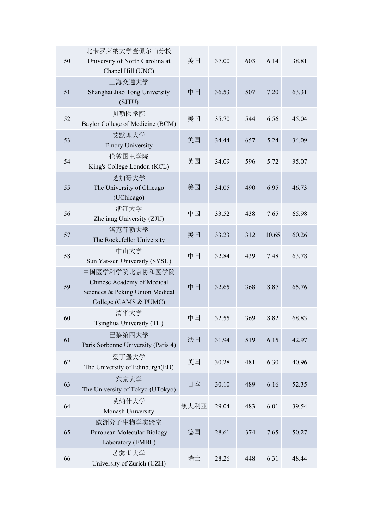| 50 | 北卡罗莱纳大学查佩尔山分校<br>University of North Carolina at<br>Chapel Hill (UNC)                                    | 美国   | 37.00 | 603 | 6.14  | 38.81 |
|----|----------------------------------------------------------------------------------------------------------|------|-------|-----|-------|-------|
| 51 | 上海交通大学<br>Shanghai Jiao Tong University<br>(SJTU)                                                        | 中国   | 36.53 | 507 | 7.20  | 63.31 |
| 52 | 贝勒医学院<br>Baylor College of Medicine (BCM)                                                                | 美国   | 35.70 | 544 | 6.56  | 45.04 |
| 53 | 艾默理大学<br><b>Emory University</b>                                                                         | 美国   | 34.44 | 657 | 5.24  | 34.09 |
| 54 | 伦敦国王学院<br>King's College London (KCL)                                                                    | 英国   | 34.09 | 596 | 5.72  | 35.07 |
| 55 | 芝加哥大学<br>The University of Chicago<br>(UChicago)                                                         | 美国   | 34.05 | 490 | 6.95  | 46.73 |
| 56 | 浙江大学<br>Zhejiang University (ZJU)                                                                        | 中国   | 33.52 | 438 | 7.65  | 65.98 |
| 57 | 洛克菲勒大学<br>The Rockefeller University                                                                     | 美国   | 33.23 | 312 | 10.65 | 60.26 |
| 58 | 中山大学<br>Sun Yat-sen University (SYSU)                                                                    | 中国   | 32.84 | 439 | 7.48  | 63.78 |
| 59 | 中国医学科学院北京协和医学院<br>Chinese Academy of Medical<br>Sciences & Peking Union Medical<br>College (CAMS & PUMC) | 中国   | 32.65 | 368 | 8.87  | 65.76 |
| 60 | 清华大学<br>Tsinghua University (TH)                                                                         | 中国   | 32.55 | 369 | 8.82  | 68.83 |
| 61 | 巴黎第四大学<br>Paris Sorbonne University (Paris 4)                                                            | 法国   | 31.94 | 519 | 6.15  | 42.97 |
| 62 | 爱丁堡大学<br>The University of Edinburgh(ED)                                                                 | 英国   | 30.28 | 481 | 6.30  | 40.96 |
| 63 | 东京大学<br>The University of Tokyo (UTokyo)                                                                 | 日本   | 30.10 | 489 | 6.16  | 52.35 |
| 64 | 莫纳什大学<br>Monash University                                                                               | 澳大利亚 | 29.04 | 483 | 6.01  | 39.54 |
| 65 | 欧洲分子生物学实验室<br>European Molecular Biology<br>Laboratory (EMBL)                                            | 德国   | 28.61 | 374 | 7.65  | 50.27 |
| 66 | 苏黎世大学<br>University of Zurich (UZH)                                                                      | 瑞士   | 28.26 | 448 | 6.31  | 48.44 |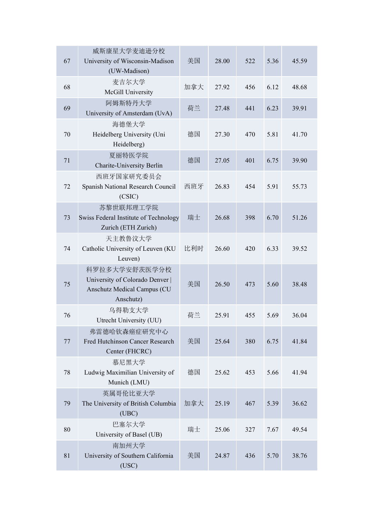| 67     | 威斯康星大学麦迪逊分校<br>University of Wisconsin-Madison<br>(UW-Madison)                               | 美国  | 28.00 | 522 | 5.36 | 45.59 |
|--------|----------------------------------------------------------------------------------------------|-----|-------|-----|------|-------|
| 68     | 麦吉尔大学<br>McGill University                                                                   | 加拿大 | 27.92 | 456 | 6.12 | 48.68 |
| 69     | 阿姆斯特丹大学<br>University of Amsterdam (UvA)                                                     | 荷兰  | 27.48 | 441 | 6.23 | 39.91 |
| $70\,$ | 海德堡大学<br>Heidelberg University (Uni<br>Heidelberg)                                           | 德国  | 27.30 | 470 | 5.81 | 41.70 |
| 71     | 夏丽特医学院<br><b>Charite-University Berlin</b>                                                   | 德国  | 27.05 | 401 | 6.75 | 39.90 |
| 72     | 西班牙国家研究委员会<br>Spanish National Research Council<br>(CSIC)                                    | 西班牙 | 26.83 | 454 | 5.91 | 55.73 |
| 73     | 苏黎世联邦理工学院<br>Swiss Federal Institute of Technology<br>Zurich (ETH Zurich)                    | 瑞士  | 26.68 | 398 | 6.70 | 51.26 |
| 74     | 天主教鲁汶大学<br>Catholic University of Leuven (KU<br>Leuven)                                      | 比利时 | 26.60 | 420 | 6.33 | 39.52 |
| 75     | 科罗拉多大学安舒茨医学分校<br>University of Colorado Denver  <br>Anschutz Medical Campus (CU<br>Anschutz) | 美国  | 26.50 | 473 | 5.60 | 38.48 |
| 76     | 乌得勒支大学<br>Utrecht University (UU)                                                            | 荷兰  | 25.91 | 455 | 5.69 | 36.04 |
| $77\,$ | 弗雷德哈钦森癌症研究中心<br>Fred Hutchinson Cancer Research<br>Center (FHCRC)                            | 美国  | 25.64 | 380 | 6.75 | 41.84 |
| 78     | 慕尼黑大学<br>Ludwig Maximilian University of<br>Munich (LMU)                                     | 德国  | 25.62 | 453 | 5.66 | 41.94 |
| 79     | 英属哥伦比亚大学<br>The University of British Columbia<br>(UBC)                                      | 加拿大 | 25.19 | 467 | 5.39 | 36.62 |
| 80     | 巴塞尔大学<br>University of Basel (UB)                                                            | 瑞士  | 25.06 | 327 | 7.67 | 49.54 |
| 81     | 南加州大学<br>University of Southern California<br>(USC)                                          | 美国  | 24.87 | 436 | 5.70 | 38.76 |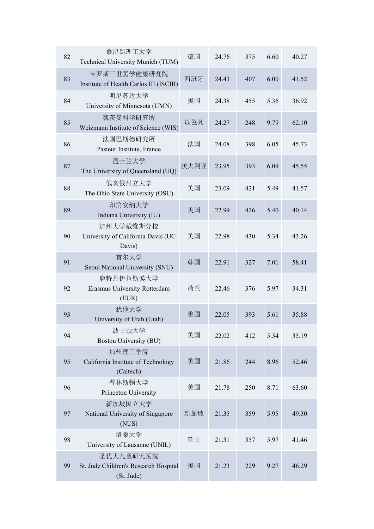| 82     | 慕尼黑理工大学<br>Technical University Munich (TUM)                     | 德国   | 24.76 | 375 | 6.60 | 40.27 |
|--------|------------------------------------------------------------------|------|-------|-----|------|-------|
| 83     | 卡罗斯三世医学健康研究院<br>Institute of Health Carlos III (ISCIII)          | 西班牙  | 24.43 | 407 | 6.00 | 41.52 |
| 84     | 明尼苏达大学<br>University of Minnesota (UMN)                          | 美国   | 24.38 | 455 | 5.36 | 36.92 |
| 85     | 魏茨曼科学研究所<br>Weizmann Institute of Science (WIS)                  | 以色列  | 24.27 | 248 | 9.79 | 62.10 |
| 86     | 法国巴斯德研究所<br>Pasteur Institute, France                            | 法国   | 24.08 | 398 | 6.05 | 45.73 |
| $87\,$ | 昆士兰大学<br>The University of Queensland (UQ)                       | 澳大利亚 | 23.95 | 393 | 6.09 | 45.55 |
| 88     | 俄亥俄州立大学<br>The Ohio State University (OSU)                       | 美国   | 23.09 | 421 | 5.49 | 41.57 |
| 89     | 印第安纳大学<br>Indiana University (IU)                                | 美国   | 22.99 | 426 | 5.40 | 40.14 |
| 90     | 加州大学戴维斯分校<br>University of California Davis (UC<br>Davis)        | 美国   | 22.98 | 430 | 5.34 | 43.26 |
| 91     | 首尔大学<br>Seoul National University (SNU)                          | 韩国   | 22.91 | 327 | 7.01 | 58.41 |
| 92     | 鹿特丹伊拉斯谟大学<br>Erasmus University Rotterdam<br>(EUR)               | 荷兰   | 22.46 | 376 | 5.97 | 34.31 |
| 93     | 犹他大学<br>University of Utah (Utah)                                | 美国   | 22.05 | 393 | 5.61 | 35.88 |
| 94     | 波士顿大学<br><b>Boston University (BU)</b>                           | 美国   | 22.02 | 412 | 5.34 | 35.19 |
| 95     | 加州理工学院<br>California Institute of Technology<br>(Caltech)        | 美国   | 21.86 | 244 | 8.96 | 52.46 |
| 96     | 普林斯顿大学<br>Princeton University                                   | 美国   | 21.78 | 250 | 8.71 | 63.60 |
| 97     | 新加坡国立大学<br>National University of Singapore<br>(NUS)             | 新加坡  | 21.35 | 359 | 5.95 | 49.30 |
| 98     | 洛桑大学<br>University of Lausanne (UNIL)                            | 瑞士   | 21.31 | 357 | 5.97 | 41.46 |
| 99     | 圣犹大儿童研究医院<br>St. Jude Children's Research Hospital<br>(St. Jude) | 美国   | 21.23 | 229 | 9.27 | 46.29 |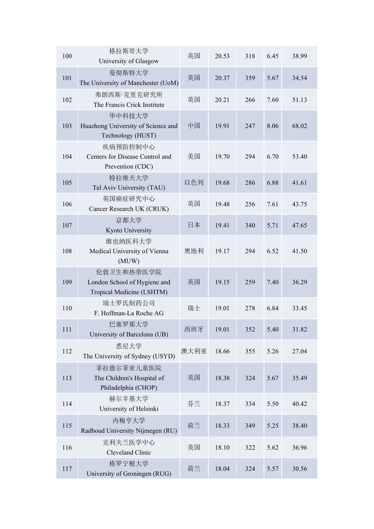| 100 | 格拉斯哥大学<br>University of Glasgow                                         | 英国   | 20.53 | 318 | 6.45 | 38.99 |
|-----|-------------------------------------------------------------------------|------|-------|-----|------|-------|
| 101 | 曼彻斯特大学<br>The University of Manchester (UoM)                            | 英国   | 20.37 | 359 | 5.67 | 34.54 |
| 102 | 弗朗西斯·克里克研究所<br>The Francis Crick Institute                              | 英国   | 20.21 | 266 | 7.60 | 51.13 |
| 103 | 华中科技大学<br>Huazhong University of Science and<br>Technology (HUST)       | 中国   | 19.91 | 247 | 8.06 | 68.02 |
| 104 | 疾病预防控制中心<br>Centers for Disease Control and<br>Prevention (CDC)         | 美国   | 19.70 | 294 | 6.70 | 53.40 |
| 105 | 特拉维夫大学<br>Tel Aviv University (TAU)                                     | 以色列  | 19.68 | 286 | 6.88 | 41.61 |
| 106 | 英国癌症研究中心<br>Cancer Research UK (CRUK)                                   | 英国   | 19.48 | 256 | 7.61 | 43.75 |
| 107 | 京都大学<br>Kyoto University                                                | 日本   | 19.41 | 340 | 5.71 | 47.65 |
| 108 | 维也纳医科大学<br>Medical University of Vienna<br>(MUW)                        | 奥地利  | 19.17 | 294 | 6.52 | 41.50 |
| 109 | 伦敦卫生和热带医学院<br>London School of Hygiene and<br>Tropical Medicine (LSHTM) | 英国   | 19.15 | 259 | 7.40 | 36.29 |
| 110 | 瑞士罗氏制药公司<br>F. Hoffman-La Roche AG                                      | 瑞士   | 19.01 | 278 | 6.84 | 33.45 |
| 111 | 巴塞罗那大学<br>University of Barcelona (UB)                                  | 西班牙  | 19.01 | 352 | 5.40 | 31.82 |
| 112 | 悉尼大学<br>The University of Sydney (USYD)                                 | 澳大利亚 | 18.66 | 355 | 5.26 | 27.04 |
| 113 | 菲拉德尔菲亚儿童医院<br>The Children's Hospital of<br>Philadelphia (CHOP)         | 美国   | 18.38 | 324 | 5.67 | 35.49 |
| 114 | 赫尔辛基大学<br>University of Helsinki                                        | 芬兰   | 18.37 | 334 | 5.50 | 40.42 |
| 115 | 内梅亨大学<br>Radboud University Nijmegen (RU)                               | 荷兰   | 18.33 | 349 | 5.25 | 38.40 |
| 116 | 克利夫兰医学中心<br>Cleveland Clinic                                            | 美国   | 18.10 | 322 | 5.62 | 36.96 |
| 117 | 格罗宁根大学<br>University of Groningen (RUG)                                 | 荷兰   | 18.04 | 324 | 5.57 | 30.56 |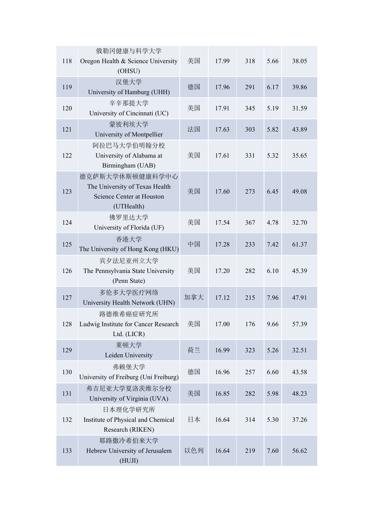| 118 | 俄勒冈健康与科学大学<br>Oregon Health & Science University<br>(OHSU)                                   | 美国  | 17.99 | 318 | 5.66 | 38.05 |
|-----|----------------------------------------------------------------------------------------------|-----|-------|-----|------|-------|
| 119 | 汉堡大学<br>University of Hamburg (UHH)                                                          | 德国  | 17.96 | 291 | 6.17 | 39.86 |
| 120 | 辛辛那提大学<br>University of Cincinnati (UC)                                                      | 美国  | 17.91 | 345 | 5.19 | 31.59 |
| 121 | 蒙彼利埃大学<br>University of Montpellier                                                          | 法国  | 17.63 | 303 | 5.82 | 43.89 |
| 122 | 阿拉巴马大学伯明翰分校<br>University of Alabama at<br>Birmingham (UAB)                                  | 美国  | 17.61 | 331 | 5.32 | 35.65 |
| 123 | 德克萨斯大学休斯顿健康科学中心<br>The University of Texas Health<br>Science Center at Houston<br>(UTHealth) | 美国  | 17.60 | 273 | 6.45 | 49.08 |
| 124 | 佛罗里达大学<br>University of Florida (UF)                                                         | 美国  | 17.54 | 367 | 4.78 | 32.70 |
| 125 | 香港大学<br>The University of Hong Kong (HKU)                                                    | 中国  | 17.28 | 233 | 7.42 | 61.37 |
| 126 | 宾夕法尼亚州立大学<br>The Pennsylvania State University<br>(Penn State)                               | 美国  | 17.20 | 282 | 6.10 | 45.39 |
| 127 | 多伦多大学医疗网络<br>University Health Network (UHN)                                                 | 加拿大 | 17.12 | 215 | 7.96 | 47.91 |
| 128 | 路德维希癌症研究所<br>Ludwig Institute for Cancer Research<br>Ltd. (LICR)                             | 美国  | 17.00 | 176 | 9.66 | 57.39 |
| 129 | 莱顿大学<br>Leiden University                                                                    | 荷兰  | 16.99 | 323 | 5.26 | 32.51 |
| 130 | 弗赖堡大学<br>University of Freiburg (Uni Freiburg)                                               | 德国  | 16.96 | 257 | 6.60 | 43.58 |
| 131 | 弗吉尼亚大学夏洛茨维尔分校<br>University of Virginia (UVA)                                                | 美国  | 16.85 | 282 | 5.98 | 48.23 |
| 132 | 日本理化学研究所<br>Institute of Physical and Chemical<br>Research (RIKEN)                           | 日本  | 16.64 | 314 | 5.30 | 37.26 |
| 133 | 耶路撒冷希伯来大学<br>Hebrew University of Jerusalem<br>(HUJI)                                        | 以色列 | 16.64 | 219 | 7.60 | 56.62 |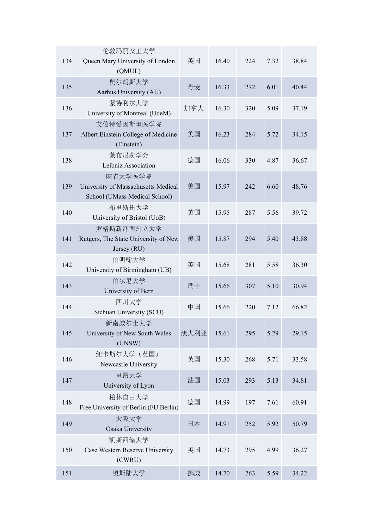| 134 | 伦敦玛丽女王大学<br>Queen Mary University of London                                     | 英国   | 16.40 | 224 | 7.32 | 38.84 |
|-----|---------------------------------------------------------------------------------|------|-------|-----|------|-------|
|     | (QMUL)                                                                          |      |       |     |      |       |
| 135 | 奥尔胡斯大学<br>Aarhus University (AU)                                                | 丹麦   | 16.33 | 272 | 6.01 | 40.44 |
| 136 | 蒙特利尔大学<br>University of Montreal (UdeM)                                         | 加拿大  | 16.30 | 320 | 5.09 | 37.19 |
| 137 | 艾伯特爱因斯坦医学院<br>Albert Einstein College of Medicine<br>(Einstein)                 | 美国   | 16.23 | 284 | 5.72 | 34.15 |
| 138 | 莱布尼茨学会<br>Leibniz Association                                                   | 德国   | 16.06 | 330 | 4.87 | 36.67 |
| 139 | 麻省大学医学院<br>University of Massachusetts Medical<br>School (UMass Medical School) | 美国   | 15.97 | 242 | 6.60 | 48.76 |
| 140 | 布里斯托大学<br>University of Bristol (UoB)                                           | 英国   | 15.95 | 287 | 5.56 | 39.72 |
| 141 | 罗格斯新泽西州立大学<br>Rutgers, The State University of New<br>Jersey (RU)               | 美国   | 15.87 | 294 | 5.40 | 43.88 |
| 142 | 伯明翰大学<br>University of Birmingham (UB)                                          | 英国   | 15.68 | 281 | 5.58 | 36.30 |
| 143 | 伯尔尼大学<br>University of Bern                                                     | 瑞士   | 15.66 | 307 | 5.10 | 30.94 |
| 144 | 四川大学<br>Sichuan University (SCU)                                                | 中国   | 15.66 | 220 | 7.12 | 66.82 |
| 145 | 新南威尔士大学<br>University of New South Wales<br>(UNSW)                              | 澳大利亚 | 15.61 | 295 | 5.29 | 29.15 |
| 146 | 纽卡斯尔大学(英国)<br>Newcastle University                                              | 英国   | 15.30 | 268 | 5.71 | 33.58 |
| 147 | 里昂大学<br>University of Lyon                                                      | 法国   | 15.03 | 293 | 5.13 | 34.81 |
| 148 | 柏林自由大学<br>Free University of Berlin (FU Berlin)                                 | 德国   | 14.99 | 197 | 7.61 | 60.91 |
| 149 | 大阪大学<br>Osaka University                                                        | 日本   | 14.91 | 252 | 5.92 | 50.79 |
| 150 | 凯斯西储大学<br>Case Western Reserve University<br>(CWRU)                             | 美国   | 14.73 | 295 | 4.99 | 36.27 |
| 151 | 奥斯陆大学                                                                           | 挪威   | 14.70 | 263 | 5.59 | 34.22 |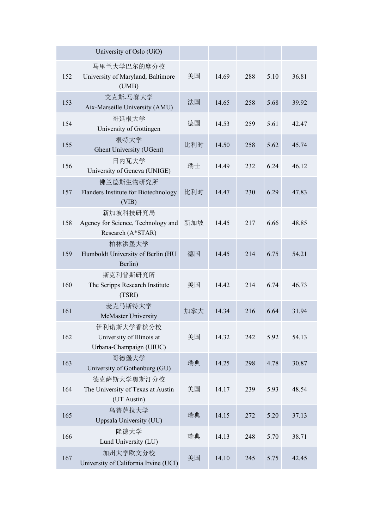|     | University of Oslo (UiO)                                            |     |       |     |      |       |
|-----|---------------------------------------------------------------------|-----|-------|-----|------|-------|
| 152 | 马里兰大学巴尔的摩分校<br>University of Maryland, Baltimore<br>(UMB)           | 美国  | 14.69 | 288 | 5.10 | 36.81 |
| 153 | 艾克斯-马赛大学<br>Aix-Marseille University (AMU)                          | 法国  | 14.65 | 258 | 5.68 | 39.92 |
| 154 | 哥廷根大学<br>University of Göttingen                                    | 德国  | 14.53 | 259 | 5.61 | 42.47 |
| 155 | 根特大学<br>Ghent University (UGent)                                    | 比利时 | 14.50 | 258 | 5.62 | 45.74 |
| 156 | 日内瓦大学<br>University of Geneva (UNIGE)                               | 瑞士  | 14.49 | 232 | 6.24 | 46.12 |
| 157 | 佛兰德斯生物研究所<br>Flanders Institute for Biotechnology<br>(VIB)          | 比利时 | 14.47 | 230 | 6.29 | 47.83 |
| 158 | 新加坡科技研究局<br>Agency for Science, Technology and<br>Research (A*STAR) | 新加坡 | 14.45 | 217 | 6.66 | 48.85 |
| 159 | 柏林洪堡大学<br>Humboldt University of Berlin (HU<br>Berlin)              | 德国  | 14.45 | 214 | 6.75 | 54.21 |
| 160 | 斯克利普斯研究所<br>The Scripps Research Institute<br>(TSRI)                | 美国  | 14.42 | 214 | 6.74 | 46.73 |
| 161 | 麦克马斯特大学<br><b>McMaster University</b>                               | 加拿大 | 14.34 | 216 | 6.64 | 31.94 |
| 162 | 伊利诺斯大学香槟分校<br>University of Illinois at<br>Urbana-Champaign (UIUC)  | 美国  | 14.32 | 242 | 5.92 | 54.13 |
| 163 | 哥德堡大学<br>University of Gothenburg (GU)                              | 瑞典  | 14.25 | 298 | 4.78 | 30.87 |
| 164 | 德克萨斯大学奥斯汀分校<br>The University of Texas at Austin<br>(UT Austin)     | 美国  | 14.17 | 239 | 5.93 | 48.54 |
| 165 | 乌普萨拉大学<br>Uppsala University (UU)                                   | 瑞典  | 14.15 | 272 | 5.20 | 37.13 |
| 166 | 隆德大学<br>Lund University (LU)                                        | 瑞典  | 14.13 | 248 | 5.70 | 38.71 |
| 167 | 加州大学欧文分校<br>University of California Irvine (UCI)                   | 美国  | 14.10 | 245 | 5.75 | 42.45 |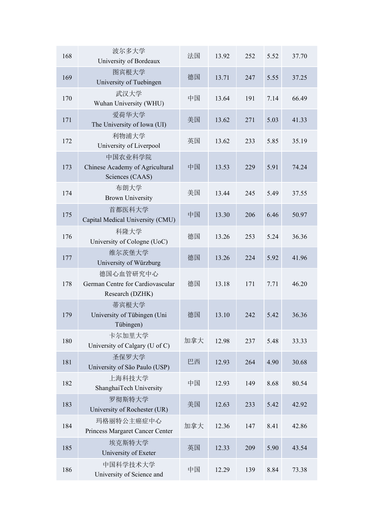| 168 | 波尔多大学<br>University of Bordeaux                                  | 法国  | 13.92 | 252 | 5.52 | 37.70 |
|-----|------------------------------------------------------------------|-----|-------|-----|------|-------|
| 169 | 图宾根大学<br>University of Tuebingen                                 | 德国  | 13.71 | 247 | 5.55 | 37.25 |
| 170 | 武汉大学<br>Wuhan University (WHU)                                   | 中国  | 13.64 | 191 | 7.14 | 66.49 |
| 171 | 爱荷华大学<br>The University of Iowa (UI)                             | 美国  | 13.62 | 271 | 5.03 | 41.33 |
| 172 | 利物浦大学<br>University of Liverpool                                 | 英国  | 13.62 | 233 | 5.85 | 35.19 |
| 173 | 中国农业科学院<br>Chinese Academy of Agricultural<br>Sciences (CAAS)    | 中国  | 13.53 | 229 | 5.91 | 74.24 |
| 174 | 布朗大学<br><b>Brown University</b>                                  | 美国  | 13.44 | 245 | 5.49 | 37.55 |
| 175 | 首都医科大学<br>Capital Medical University (CMU)                       | 中国  | 13.30 | 206 | 6.46 | 50.97 |
| 176 | 科隆大学<br>University of Cologne (UoC)                              | 德国  | 13.26 | 253 | 5.24 | 36.36 |
| 177 | 维尔茨堡大学<br>University of Würzburg                                 | 德国  | 13.26 | 224 | 5.92 | 41.96 |
| 178 | 德国心血管研究中心<br>German Centre for Cardiovascular<br>Research (DZHK) | 德国  | 13.18 | 171 | 7.71 | 46.20 |
| 179 | 蒂宾根大学<br>University of Tübingen (Uni<br>Tübingen)                | 德国  | 13.10 | 242 | 5.42 | 36.36 |
| 180 | 卡尔加里大学<br>University of Calgary (U of C)                         | 加拿大 | 12.98 | 237 | 5.48 | 33.33 |
| 181 | 圣保罗大学<br>University of São Paulo (USP)                           | 巴西  | 12.93 | 264 | 4.90 | 30.68 |
| 182 | 上海科技大学<br>ShanghaiTech University                                | 中国  | 12.93 | 149 | 8.68 | 80.54 |
| 183 | 罗彻斯特大学<br>University of Rochester (UR)                           | 美国  | 12.63 | 233 | 5.42 | 42.92 |
| 184 | 玛格丽特公主癌症中心<br>Princess Margaret Cancer Center                    | 加拿大 | 12.36 | 147 | 8.41 | 42.86 |
| 185 | 埃克斯特大学<br>University of Exeter                                   | 英国  | 12.33 | 209 | 5.90 | 43.54 |
| 186 | 中国科学技术大学<br>University of Science and                            | 中国  | 12.29 | 139 | 8.84 | 73.38 |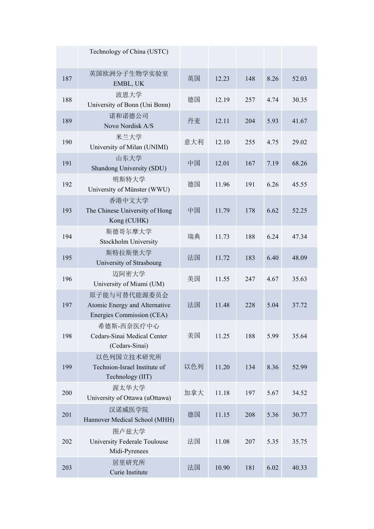|     | Technology of China (USTC)                                                 |     |       |     |      |       |
|-----|----------------------------------------------------------------------------|-----|-------|-----|------|-------|
| 187 | 英国欧洲分子生物学实验室<br>EMBL, UK                                                   | 英国  | 12.23 | 148 | 8.26 | 52.03 |
| 188 | 波恩大学<br>University of Bonn (Uni Bonn)                                      | 德国  | 12.19 | 257 | 4.74 | 30.35 |
| 189 | 诺和诺德公司<br>Novo Nordisk A/S                                                 | 丹麦  | 12.11 | 204 | 5.93 | 41.67 |
| 190 | 米兰大学<br>University of Milan (UNIMI)                                        | 意大利 | 12.10 | 255 | 4.75 | 29.02 |
| 191 | 山东大学<br>Shandong University (SDU)                                          | 中国  | 12.01 | 167 | 7.19 | 68.26 |
| 192 | 明斯特大学<br>University of Münster (WWU)                                       | 德国  | 11.96 | 191 | 6.26 | 45.55 |
| 193 | 香港中文大学<br>The Chinese University of Hong<br>Kong (CUHK)                    | 中国  | 11.79 | 178 | 6.62 | 52.25 |
| 194 | 斯德哥尔摩大学<br>Stockholm University                                            | 瑞典  | 11.73 | 188 | 6.24 | 47.34 |
| 195 | 斯特拉斯堡大学<br>University of Strasbourg                                        | 法国  | 11.72 | 183 | 6.40 | 48.09 |
| 196 | 迈阿密大学<br>University of Miami (UM)                                          | 美国  | 11.55 | 247 | 4.67 | 35.63 |
| 197 | 原子能与可替代能源委员会<br>Atomic Energy and Alternative<br>Energies Commission (CEA) | 法国  | 11.48 | 228 | 5.04 | 37.72 |
| 198 | 希德斯-西奈医疗中心<br>Cedars-Sinai Medical Center<br>(Cedars-Sinai)                | 美国  | 11.25 | 188 | 5.99 | 35.64 |
| 199 | 以色列国立技术研究所<br>Technion-Israel Institute of<br>Technology (IIT)             | 以色列 | 11.20 | 134 | 8.36 | 52.99 |
| 200 | 渥太华大学<br>University of Ottawa (uOttawa)                                    | 加拿大 | 11.18 | 197 | 5.67 | 34.52 |
| 201 | 汉诺威医学院<br>Hannover Medical School (MHH)                                    | 德国  | 11.15 | 208 | 5.36 | 30.77 |
| 202 | 图卢兹大学<br>University Federale Toulouse<br>Midi-Pyrenees                     | 法国  | 11.08 | 207 | 5.35 | 35.75 |
| 203 | 居里研究所<br>Curie Institute                                                   | 法国  | 10.90 | 181 | 6.02 | 40.33 |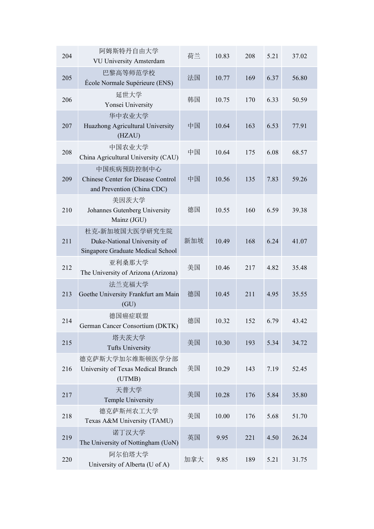| 204 | 阿姆斯特丹自由大学<br>VU University Amsterdam                                               | 荷兰  | 10.83 | 208 | 5.21 | 37.02 |
|-----|------------------------------------------------------------------------------------|-----|-------|-----|------|-------|
| 205 | 巴黎高等师范学校<br>École Normale Supérieure (ENS)                                         | 法国  | 10.77 | 169 | 6.37 | 56.80 |
| 206 | 延世大学<br>Yonsei University                                                          | 韩国  | 10.75 | 170 | 6.33 | 50.59 |
| 207 | 华中农业大学<br>Huazhong Agricultural University<br>(HZAU)                               | 中国  | 10.64 | 163 | 6.53 | 77.91 |
| 208 | 中国农业大学<br>China Agricultural University (CAU)                                      | 中国  | 10.64 | 175 | 6.08 | 68.57 |
| 209 | 中国疾病预防控制中心<br>Chinese Center for Disease Control<br>and Prevention (China CDC)     | 中国  | 10.56 | 135 | 7.83 | 59.26 |
| 210 | 美因茨大学<br>Johannes Gutenberg University<br>Mainz (JGU)                              | 德国  | 10.55 | 160 | 6.59 | 39.38 |
| 211 | 杜克-新加坡国大医学研究生院<br>Duke-National University of<br>Singapore Graduate Medical School | 新加坡 | 10.49 | 168 | 6.24 | 41.07 |
| 212 | 亚利桑那大学<br>The University of Arizona (Arizona)                                      | 美国  | 10.46 | 217 | 4.82 | 35.48 |
| 213 | 法兰克福大学<br>Goethe University Frankfurt am Main<br>(GU)                              | 德国  | 10.45 | 211 | 4.95 | 35.55 |
| 214 | 德国癌症联盟<br>German Cancer Consortium (DKTK)                                          | 德国  | 10.32 | 152 | 6.79 | 43.42 |
| 215 | 塔夫茨大学<br><b>Tufts University</b>                                                   | 美国  | 10.30 | 193 | 5.34 | 34.72 |
| 216 | 德克萨斯大学加尔维斯顿医学分部<br>University of Texas Medical Branch<br>(UTMB)                    | 美国  | 10.29 | 143 | 7.19 | 52.45 |
| 217 | 天普大学<br>Temple University                                                          | 美国  | 10.28 | 176 | 5.84 | 35.80 |
| 218 | 德克萨斯州农工大学<br>Texas A&M University (TAMU)                                           | 美国  | 10.00 | 176 | 5.68 | 51.70 |
| 219 | 诺丁汉大学<br>The University of Nottingham (UoN)                                        | 英国  | 9.95  | 221 | 4.50 | 26.24 |
| 220 | 阿尔伯塔大学<br>University of Alberta (U of A)                                           | 加拿大 | 9.85  | 189 | 5.21 | 31.75 |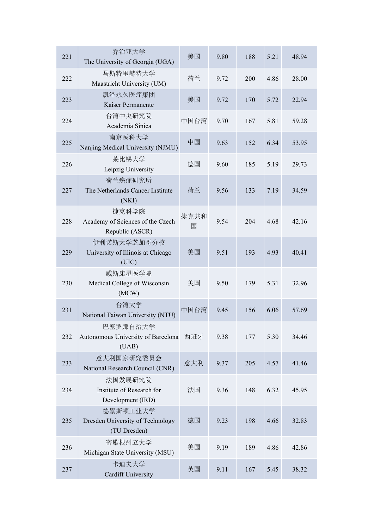| 221 | 乔治亚大学<br>The University of Georgia (UGA)                     | 美国        | 9.80 | 188 | 5.21 | 48.94 |
|-----|--------------------------------------------------------------|-----------|------|-----|------|-------|
| 222 | 马斯特里赫特大学<br>Maastricht University (UM)                       | 荷兰        | 9.72 | 200 | 4.86 | 28.00 |
| 223 | 凯泽永久医疗集团<br>Kaiser Permanente                                | 美国        | 9.72 | 170 | 5.72 | 22.94 |
| 224 | 台湾中央研究院<br>Academia Sinica                                   | 中国台湾      | 9.70 | 167 | 5.81 | 59.28 |
| 225 | 南京医科大学<br>Nanjing Medical University (NJMU)                  | 中国        | 9.63 | 152 | 6.34 | 53.95 |
| 226 | 莱比锡大学<br>Leipzig University                                  | 德国        | 9.60 | 185 | 5.19 | 29.73 |
| 227 | 荷兰癌症研究所<br>The Netherlands Cancer Institute<br>(NKI)         | 荷兰        | 9.56 | 133 | 7.19 | 34.59 |
| 228 | 捷克科学院<br>Academy of Sciences of the Czech<br>Republic (ASCR) | 捷克共和<br>国 | 9.54 | 204 | 4.68 | 42.16 |
| 229 | 伊利诺斯大学芝加哥分校<br>University of Illinois at Chicago<br>(UIC)    | 美国        | 9.51 | 193 | 4.93 | 40.41 |
| 230 | 威斯康星医学院<br>Medical College of Wisconsin<br>(MCW)             | 美国        | 9.50 | 179 | 5.31 | 32.96 |
| 231 | 台湾大学<br>National Taiwan University (NTU)                     | 中国台湾      | 9.45 | 156 | 6.06 | 57.69 |
| 232 | 巴塞罗那自治大学<br>Autonomous University of Barcelona 西班牙<br>(UAB)  |           | 9.38 | 177 | 5.30 | 34.46 |
| 233 | 意大利国家研究委员会<br>National Research Council (CNR)                | 意大利       | 9.37 | 205 | 4.57 | 41.46 |
| 234 | 法国发展研究院<br>Institute of Research for<br>Development (IRD)    | 法国        | 9.36 | 148 | 6.32 | 45.95 |
| 235 | 德累斯顿工业大学<br>Dresden University of Technology<br>(TU Dresden) | 德国        | 9.23 | 198 | 4.66 | 32.83 |
| 236 | 密歇根州立大学<br>Michigan State University (MSU)                   | 美国        | 9.19 | 189 | 4.86 | 42.86 |
| 237 | 卡迪夫大学<br><b>Cardiff University</b>                           | 英国        | 9.11 | 167 | 5.45 | 38.32 |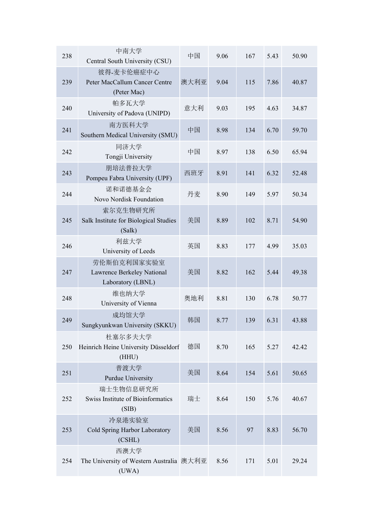| 238 | 中南大学<br>Central South University (CSU)                         | 中国   | 9.06 | 167 | 5.43 | 50.90 |
|-----|----------------------------------------------------------------|------|------|-----|------|-------|
| 239 | 彼得-麦卡伦癌症中心<br>Peter MacCallum Cancer Centre<br>(Peter Mac)     | 澳大利亚 | 9.04 | 115 | 7.86 | 40.87 |
| 240 | 帕多瓦大学<br>University of Padova (UNIPD)                          | 意大利  | 9.03 | 195 | 4.63 | 34.87 |
| 241 | 南方医科大学<br>Southern Medical University (SMU)                    | 中国   | 8.98 | 134 | 6.70 | 59.70 |
| 242 | 同济大学<br>Tongji University                                      | 中国   | 8.97 | 138 | 6.50 | 65.94 |
| 243 | 朋培法普拉大学<br>Pompeu Fabra University (UPF)                       | 西班牙  | 8.91 | 141 | 6.32 | 52.48 |
| 244 | 诺和诺德基金会<br>Novo Nordisk Foundation                             | 丹麦   | 8.90 | 149 | 5.97 | 50.34 |
| 245 | 索尔克生物研究所<br>Salk Institute for Biological Studies<br>(Salk)    | 美国   | 8.89 | 102 | 8.71 | 54.90 |
| 246 | 利兹大学<br>University of Leeds                                    | 英国   | 8.83 | 177 | 4.99 | 35.03 |
| 247 | 劳伦斯伯克利国家实验室<br>Lawrence Berkeley National<br>Laboratory (LBNL) | 美国   | 8.82 | 162 | 5.44 | 49.38 |
| 248 | 维也纳大学<br>University of Vienna                                  | 奥地利  | 8.81 | 130 | 6.78 | 50.77 |
| 249 | 成均馆大学<br>Sungkyunkwan University (SKKU)                        | 韩国   | 8.77 | 139 | 6.31 | 43.88 |
| 250 | 杜塞尔多夫大学<br>Heinrich Heine University Düsseldorf<br>(HHU)       | 德国   | 8.70 | 165 | 5.27 | 42.42 |
| 251 | 普渡大学<br>Purdue University                                      | 美国   | 8.64 | 154 | 5.61 | 50.65 |
| 252 | 瑞士生物信息研究所<br>Swiss Institute of Bioinformatics<br>(SIB)        | 瑞士   | 8.64 | 150 | 5.76 | 40.67 |
| 253 | 冷泉港实验室<br>Cold Spring Harbor Laboratory<br>(CSHL)              | 美国   | 8.56 | 97  | 8.83 | 56.70 |
| 254 | 西澳大学<br>The University of Western Australia 澳大利亚<br>(UWA)      |      | 8.56 | 171 | 5.01 | 29.24 |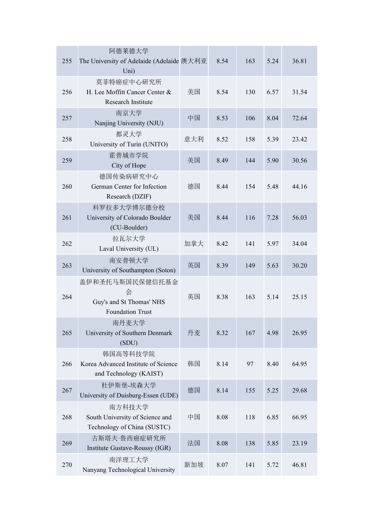| 255 | 阿德莱德大学<br>The University of Adelaide (Adelaide 澳大利亚<br>Uni)                 |     | 8.54 | 163 | 5.24 | 36.81 |
|-----|-----------------------------------------------------------------------------|-----|------|-----|------|-------|
| 256 | 莫菲特癌症中心研究所<br>H. Lee Moffitt Cancer Center &<br>Research Institute          | 美国  | 8.54 | 130 | 6.57 | 31.54 |
| 257 | 南京大学<br>Nanjing University (NJU)                                            | 中国  | 8.53 | 106 | 8.04 | 72.64 |
| 258 | 都灵大学<br>University of Turin (UNITO)                                         | 意大利 | 8.52 | 158 | 5.39 | 23.42 |
| 259 | 霍普城市学院<br>City of Hope                                                      | 美国  | 8.49 | 144 | 5.90 | 30.56 |
| 260 | 德国传染病研究中心<br>German Center for Infection<br>Research (DZIF)                 | 德国  | 8.44 | 154 | 5.48 | 44.16 |
| 261 | 科罗拉多大学博尔德分校<br>University of Colorado Boulder<br>(CU-Boulder)               | 美国  | 8.44 | 116 | 7.28 | 56.03 |
| 262 | 拉瓦尔大学<br>Laval University (UL)                                              | 加拿大 | 8.42 | 141 | 5.97 | 34.04 |
| 263 | 南安普顿大学<br>University of Southampton (Soton)                                 | 英国  | 8.39 | 149 | 5.63 | 30.20 |
| 264 | 盖伊和圣托马斯国民保健信托基金<br>会<br>Guy's and St Thomas' NHS<br><b>Foundation Trust</b> | 英国  | 8.38 | 163 | 5.14 | 25.15 |
| 265 | 南丹麦大学<br>University of Southern Denmark<br>(SDU)                            | 丹麦  | 8.32 | 167 | 4.98 | 26.95 |
| 266 | 韩国高等科技学院<br>Korea Advanced Institute of Science<br>and Technology (KAIST)   | 韩国  | 8.14 | 97  | 8.40 | 64.95 |
| 267 | 杜伊斯堡-埃森大学<br>University of Duisburg-Essen (UDE)                             | 德国  | 8.14 | 155 | 5.25 | 29.68 |
| 268 | 南方科技大学<br>South University of Science and<br>Technology of China (SUSTC)    | 中国  | 8.08 | 118 | 6.85 | 66.95 |
| 269 | 古斯塔夫·鲁西癌症研究所<br>Institute Gustave-Roussy (IGR)                              | 法国  | 8.08 | 138 | 5.85 | 23.19 |
| 270 | 南洋理工大学<br>Nanyang Technological University                                  | 新加坡 | 8.07 | 141 | 5.72 | 46.81 |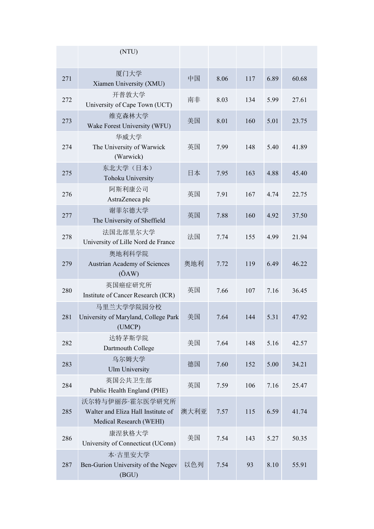|     | (NTU)                                                                            |      |      |     |      |       |
|-----|----------------------------------------------------------------------------------|------|------|-----|------|-------|
| 271 | 厦门大学<br>Xiamen University (XMU)                                                  | 中国   | 8.06 | 117 | 6.89 | 60.68 |
| 272 | 开普敦大学<br>University of Cape Town (UCT)                                           | 南非   | 8.03 | 134 | 5.99 | 27.61 |
| 273 | 维克森林大学<br>Wake Forest University (WFU)                                           | 美国   | 8.01 | 160 | 5.01 | 23.75 |
| 274 | 华威大学<br>The University of Warwick<br>(Warwick)                                   | 英国   | 7.99 | 148 | 5.40 | 41.89 |
| 275 | 东北大学(日本)<br><b>Tohoku University</b>                                             | 日本   | 7.95 | 163 | 4.88 | 45.40 |
| 276 | 阿斯利康公司<br>AstraZeneca plc                                                        | 英国   | 7.91 | 167 | 4.74 | 22.75 |
| 277 | 谢菲尔德大学<br>The University of Sheffield                                            | 英国   | 7.88 | 160 | 4.92 | 37.50 |
| 278 | 法国北部里尔大学<br>University of Lille Nord de France                                   | 法国   | 7.74 | 155 | 4.99 | 21.94 |
| 279 | 奥地利科学院<br>Austrian Academy of Sciences<br>$(\ddot{O}AW)$                         | 奥地利  | 7.72 | 119 | 6.49 | 46.22 |
| 280 | 英国癌症研究所<br>Institute of Cancer Research (ICR)                                    | 英国   | 7.66 | 107 | 7.16 | 36.45 |
| 281 | 马里兰大学学院园分校<br>University of Maryland, College Park<br>(UMCP)                     | 美国   | 7.64 | 144 | 5.31 | 47.92 |
| 282 | 达特茅斯学院<br>Dartmouth College                                                      | 美国   | 7.64 | 148 | 5.16 | 42.57 |
| 283 | 乌尔姆大学<br><b>Ulm University</b>                                                   | 德国   | 7.60 | 152 | 5.00 | 34.21 |
| 284 | 英国公共卫生部<br>Public Health England (PHE)                                           | 英国   | 7.59 | 106 | 7.16 | 25.47 |
| 285 | 沃尔特与伊丽莎·霍尔医学研究所<br>Walter and Eliza Hall Institute of<br>Medical Research (WEHI) | 澳大利亚 | 7.57 | 115 | 6.59 | 41.74 |
| 286 | 康涅狄格大学<br>University of Connecticut (UConn)                                      | 美国   | 7.54 | 143 | 5.27 | 50.35 |
| 287 | 本·古里安大学<br>Ben-Gurion University of the Negev<br>(BGU)                           | 以色列  | 7.54 | 93  | 8.10 | 55.91 |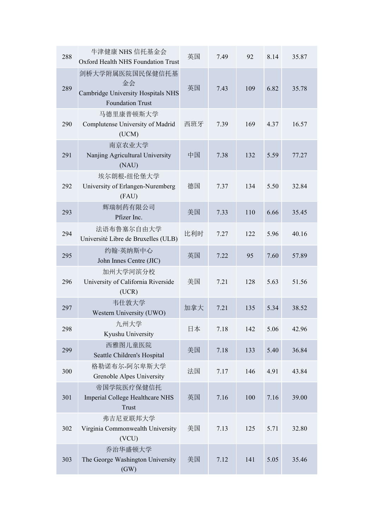| 288 | 牛津健康 NHS 信托基金会<br>Oxford Health NHS Foundation Trust                                   | 英国  | 7.49 | 92  | 8.14 | 35.87 |
|-----|----------------------------------------------------------------------------------------|-----|------|-----|------|-------|
| 289 | 剑桥大学附属医院国民保健信托基<br>金会<br>Cambridge University Hospitals NHS<br><b>Foundation Trust</b> | 英国  | 7.43 | 109 | 6.82 | 35.78 |
| 290 | 马德里康普顿斯大学<br>Complutense University of Madrid<br>(UCM)                                 | 西班牙 | 7.39 | 169 | 4.37 | 16.57 |
| 291 | 南京农业大学<br>Nanjing Agricultural University<br>(NAU)                                     | 中国  | 7.38 | 132 | 5.59 | 77.27 |
| 292 | 埃尔朗根-纽伦堡大学<br>University of Erlangen-Nuremberg<br>(FAU)                                | 德国  | 7.37 | 134 | 5.50 | 32.84 |
| 293 | 辉瑞制药有限公司<br>Pfizer Inc.                                                                | 美国  | 7.33 | 110 | 6.66 | 35.45 |
| 294 | 法语布鲁塞尔自由大学<br>Université Libre de Bruxelles (ULB)                                      | 比利时 | 7.27 | 122 | 5.96 | 40.16 |
| 295 | 约翰·英纳斯中心<br>John Innes Centre (JIC)                                                    | 英国  | 7.22 | 95  | 7.60 | 57.89 |
| 296 | 加州大学河滨分校<br>University of California Riverside<br>(UCR)                                | 美国  | 7.21 | 128 | 5.63 | 51.56 |
| 297 | 韦仕敦大学<br>Western University (UWO)                                                      | 加拿大 | 7.21 | 135 | 5.34 | 38.52 |
| 298 | 九州大学<br>Kyushu University                                                              | 日本  | 7.18 | 142 | 5.06 | 42.96 |
| 299 | 西雅图儿童医院<br>Seattle Children's Hospital                                                 | 美国  | 7.18 | 133 | 5.40 | 36.84 |
| 300 | 格勒诺布尔-阿尔卑斯大学<br>Grenoble Alpes University                                              | 法国  | 7.17 | 146 | 4.91 | 43.84 |
| 301 | 帝国学院医疗保健信托<br>Imperial College Healthcare NHS<br>Trust                                 | 英国  | 7.16 | 100 | 7.16 | 39.00 |
| 302 | 弗吉尼亚联邦大学<br>Virginia Commonwealth University<br>(VCU)                                  | 美国  | 7.13 | 125 | 5.71 | 32.80 |
| 303 | 乔治华盛顿大学<br>The George Washington University<br>(GW)                                    | 美国  | 7.12 | 141 | 5.05 | 35.46 |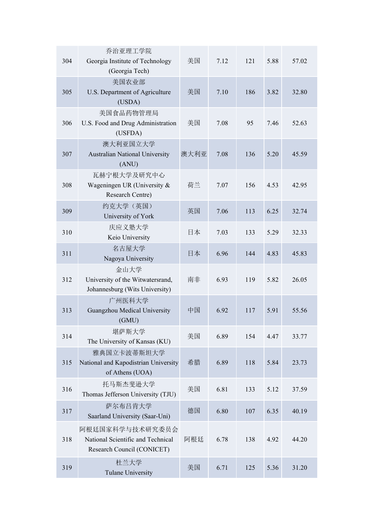| 304 | 乔治亚理工学院<br>Georgia Institute of Technology<br>(Georgia Tech)                       | 美国   | 7.12 | 121 | 5.88 | 57.02 |
|-----|------------------------------------------------------------------------------------|------|------|-----|------|-------|
| 305 | 美国农业部<br>U.S. Department of Agriculture<br>(USDA)                                  | 美国   | 7.10 | 186 | 3.82 | 32.80 |
| 306 | 美国食品药物管理局<br>U.S. Food and Drug Administration<br>(USFDA)                          | 美国   | 7.08 | 95  | 7.46 | 52.63 |
| 307 | 澳大利亚国立大学<br>Australian National University<br>(ANU)                                | 澳大利亚 | 7.08 | 136 | 5.20 | 45.59 |
| 308 | 瓦赫宁根大学及研究中心<br>Wageningen UR (University &<br>Research Centre)                     | 荷兰   | 7.07 | 156 | 4.53 | 42.95 |
| 309 | 约克大学(英国)<br>University of York                                                     | 英国   | 7.06 | 113 | 6.25 | 32.74 |
| 310 | 庆应义塾大学<br>Keio University                                                          | 日本   | 7.03 | 133 | 5.29 | 32.33 |
| 311 | 名古屋大学<br>Nagoya University                                                         | 日本   | 6.96 | 144 | 4.83 | 45.83 |
| 312 | 金山大学<br>University of the Witwatersrand,<br>Johannesburg (Wits University)         | 南非   | 6.93 | 119 | 5.82 | 26.05 |
| 313 | 广州医科大学<br>Guangzhou Medical University<br>(GMU)                                    | 中国   | 6.92 | 117 | 5.91 | 55.56 |
| 314 | 堪萨斯大学<br>The University of Kansas (KU)                                             | 美国   | 6.89 | 154 | 4.47 | 33.77 |
| 315 | 雅典国立卡波蒂斯坦大学<br>National and Kapodistrian University<br>of Athens (UOA)             | 希腊   | 6.89 | 118 | 5.84 | 23.73 |
| 316 | 托马斯杰斐逊大学<br>Thomas Jefferson University (TJU)                                      | 美国   | 6.81 | 133 | 5.12 | 37.59 |
| 317 | 萨尔布吕肯大学<br>Saarland University (Saar-Uni)                                          | 德国   | 6.80 | 107 | 6.35 | 40.19 |
| 318 | 阿根廷国家科学与技术研究委员会<br>National Scientific and Technical<br>Research Council (CONICET) | 阿根廷  | 6.78 | 138 | 4.92 | 44.20 |
| 319 | 杜兰大学<br><b>Tulane University</b>                                                   | 美国   | 6.71 | 125 | 5.36 | 31.20 |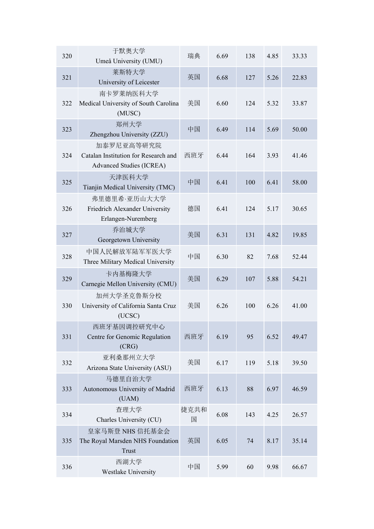| 320 | 于默奥大学<br>Umeå University (UMU)                                                 | 瑞典        | 6.69 | 138 | 4.85 | 33.33 |
|-----|--------------------------------------------------------------------------------|-----------|------|-----|------|-------|
| 321 | 莱斯特大学<br>University of Leicester                                               | 英国        | 6.68 | 127 | 5.26 | 22.83 |
| 322 | 南卡罗莱纳医科大学<br>Medical University of South Carolina<br>(MUSC)                    | 美国        | 6.60 | 124 | 5.32 | 33.87 |
| 323 | 郑州大学<br>Zhengzhou University (ZZU)                                             | 中国        | 6.49 | 114 | 5.69 | 50.00 |
| 324 | 加泰罗尼亚高等研究院<br>Catalan Institution for Research and<br>Advanced Studies (ICREA) | 西班牙       | 6.44 | 164 | 3.93 | 41.46 |
| 325 | 天津医科大学<br>Tianjin Medical University (TMC)                                     | 中国        | 6.41 | 100 | 6.41 | 58.00 |
| 326 | 弗里德里希·亚历山大大学<br>Friedrich Alexander University<br>Erlangen-Nuremberg           | 德国        | 6.41 | 124 | 5.17 | 30.65 |
| 327 | 乔治城大学<br>Georgetown University                                                 | 美国        | 6.31 | 131 | 4.82 | 19.85 |
| 328 | 中国人民解放军陆军军医大学<br>Three Military Medical University                             | 中国        | 6.30 | 82  | 7.68 | 52.44 |
| 329 | 卡内基梅隆大学<br>Carnegie Mellon University (CMU)                                    | 美国        | 6.29 | 107 | 5.88 | 54.21 |
| 330 | 加州大学圣克鲁斯分校<br>University of California Santa Cruz<br>(UCSC)                    | 美国        | 6.26 | 100 | 6.26 | 41.00 |
| 331 | 西班牙基因调控研究中心<br>Centre for Genomic Regulation<br>(CRG)                          | 西班牙       | 6.19 | 95  | 6.52 | 49.47 |
| 332 | 亚利桑那州立大学<br>Arizona State University (ASU)                                     | 美国        | 6.17 | 119 | 5.18 | 39.50 |
| 333 | 马德里自治大学<br>Autonomous University of Madrid<br>(UAM)                            | 西班牙       | 6.13 | 88  | 6.97 | 46.59 |
| 334 | 查理大学<br>Charles University (CU)                                                | 捷克共和<br>国 | 6.08 | 143 | 4.25 | 26.57 |
| 335 | 皇家马斯登 NHS 信托基金会<br>The Royal Marsden NHS Foundation<br>Trust                   | 英国        | 6.05 | 74  | 8.17 | 35.14 |
| 336 | 西湖大学<br>Westlake University                                                    | 中国        | 5.99 | 60  | 9.98 | 66.67 |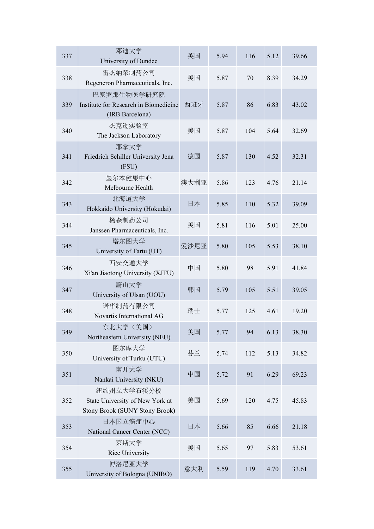| 337 | 邓迪大学<br>University of Dundee                                                    | 英国   | 5.94 | 116 | 5.12 | 39.66 |
|-----|---------------------------------------------------------------------------------|------|------|-----|------|-------|
| 338 | 雷杰纳荣制药公司<br>Regeneron Pharmaceuticals, Inc.                                     | 美国   | 5.87 | 70  | 8.39 | 34.29 |
| 339 | 巴塞罗那生物医学研究院<br>Institute for Research in Biomedicine<br>(IRB Barcelona)         | 西班牙  | 5.87 | 86  | 6.83 | 43.02 |
| 340 | 杰克逊实验室<br>The Jackson Laboratory                                                | 美国   | 5.87 | 104 | 5.64 | 32.69 |
| 341 | 耶拿大学<br>Friedrich Schiller University Jena<br>(FSU)                             | 德国   | 5.87 | 130 | 4.52 | 32.31 |
| 342 | 墨尔本健康中心<br>Melbourne Health                                                     | 澳大利亚 | 5.86 | 123 | 4.76 | 21.14 |
| 343 | 北海道大学<br>Hokkaido University (Hokudai)                                          | 日本   | 5.85 | 110 | 5.32 | 39.09 |
| 344 | 杨森制药公司<br>Janssen Pharmaceuticals, Inc.                                         | 美国   | 5.81 | 116 | 5.01 | 25.00 |
| 345 | 塔尔图大学<br>University of Tartu (UT)                                               | 爱沙尼亚 | 5.80 | 105 | 5.53 | 38.10 |
| 346 | 西安交通大学<br>Xi'an Jiaotong University (XJTU)                                      | 中国   | 5.80 | 98  | 5.91 | 41.84 |
| 347 | 蔚山大学<br>University of Ulsan (UOU)                                               | 韩国   | 5.79 | 105 | 5.51 | 39.05 |
| 348 | 诺华制药有限公司<br>Novartis International AG                                           | 瑞士   | 5.77 | 125 | 4.61 | 19.20 |
| 349 | 东北大学(美国)<br>Northeastern University (NEU)                                       | 美国   | 5.77 | 94  | 6.13 | 38.30 |
| 350 | 图尔库大学<br>University of Turku (UTU)                                              | 芬兰   | 5.74 | 112 | 5.13 | 34.82 |
| 351 | 南开大学<br>Nankai University (NKU)                                                 | 中国   | 5.72 | 91  | 6.29 | 69.23 |
| 352 | 纽约州立大学石溪分校<br>State University of New York at<br>Stony Brook (SUNY Stony Brook) | 美国   | 5.69 | 120 | 4.75 | 45.83 |
| 353 | 日本国立癌症中心<br>National Cancer Center (NCC)                                        | 日本   | 5.66 | 85  | 6.66 | 21.18 |
| 354 | 莱斯大学<br>Rice University                                                         | 美国   | 5.65 | 97  | 5.83 | 53.61 |
| 355 | 博洛尼亚大学<br>University of Bologna (UNIBO)                                         | 意大利  | 5.59 | 119 | 4.70 | 33.61 |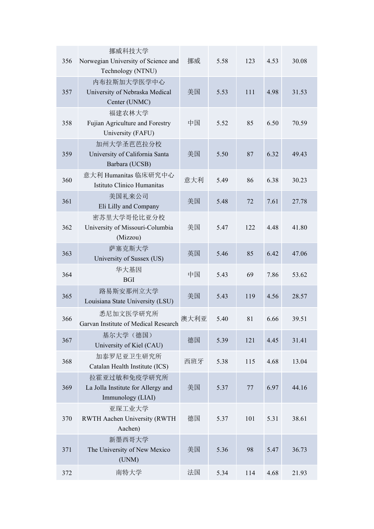| 356 | 挪威科技大学<br>Norwegian University of Science and<br>Technology (NTNU)      | 挪威   | 5.58 | 123 | 4.53 | 30.08 |
|-----|-------------------------------------------------------------------------|------|------|-----|------|-------|
| 357 | 内布拉斯加大学医学中心<br>University of Nebraska Medical<br>Center (UNMC)          | 美国   | 5.53 | 111 | 4.98 | 31.53 |
| 358 | 福建农林大学<br>Fujian Agriculture and Forestry<br>University (FAFU)          | 中国   | 5.52 | 85  | 6.50 | 70.59 |
| 359 | 加州大学圣芭芭拉分校<br>University of California Santa<br>Barbara (UCSB)          | 美国   | 5.50 | 87  | 6.32 | 49.43 |
| 360 | 意大利 Humanitas 临床研究中心<br>Istituto Clinico Humanitas                      | 意大利  | 5.49 | 86  | 6.38 | 30.23 |
| 361 | 美国礼来公司<br>Eli Lilly and Company                                         | 美国   | 5.48 | 72  | 7.61 | 27.78 |
| 362 | 密苏里大学哥伦比亚分校<br>University of Missouri-Columbia<br>(Mizzou)              | 美国   | 5.47 | 122 | 4.48 | 41.80 |
| 363 | 萨塞克斯大学<br>University of Sussex (US)                                     | 英国   | 5.46 | 85  | 6.42 | 47.06 |
| 364 | 华大基因<br><b>BGI</b>                                                      | 中国   | 5.43 | 69  | 7.86 | 53.62 |
| 365 | 路易斯安那州立大学<br>Louisiana State University (LSU)                           | 美国   | 5.43 | 119 | 4.56 | 28.57 |
| 366 | 悉尼加文医学研究所<br>Garvan Institute of Medical Research                       | 澳大利亚 | 5.40 | 81  | 6.66 | 39.51 |
| 367 | 基尔大学 (德国)<br>University of Kiel (CAU)                                   | 德国   | 5.39 | 121 | 4.45 | 31.41 |
| 368 | 加泰罗尼亚卫生研究所<br>Catalan Health Institute (ICS)                            | 西班牙  | 5.38 | 115 | 4.68 | 13.04 |
| 369 | 拉霍亚过敏和免疫学研究所<br>La Jolla Institute for Allergy and<br>Immunology (LIAI) | 美国   | 5.37 | 77  | 6.97 | 44.16 |
| 370 | 亚琛工业大学<br>RWTH Aachen University (RWTH<br>Aachen)                       | 德国   | 5.37 | 101 | 5.31 | 38.61 |
| 371 | 新墨西哥大学<br>The University of New Mexico<br>(UNM)                         | 美国   | 5.36 | 98  | 5.47 | 36.73 |
| 372 | 南特大学                                                                    | 法国   | 5.34 | 114 | 4.68 | 21.93 |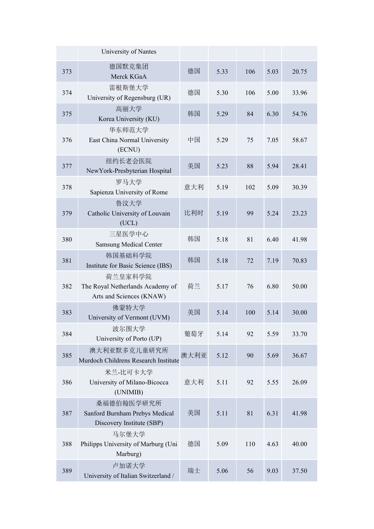|     | University of Nantes                                                      |      |      |     |      |       |
|-----|---------------------------------------------------------------------------|------|------|-----|------|-------|
| 373 | 德国默克集团<br>Merck KGaA                                                      | 德国   | 5.33 | 106 | 5.03 | 20.75 |
| 374 | 雷根斯堡大学<br>University of Regensburg (UR)                                   | 德国   | 5.30 | 106 | 5.00 | 33.96 |
| 375 | 高丽大学<br>Korea University (KU)                                             | 韩国   | 5.29 | 84  | 6.30 | 54.76 |
| 376 | 华东师范大学<br>East China Normal University<br>(ECNU)                          | 中国   | 5.29 | 75  | 7.05 | 58.67 |
| 377 | 纽约长老会医院<br>NewYork-Presbyterian Hospital                                  | 美国   | 5.23 | 88  | 5.94 | 28.41 |
| 378 | 罗马大学<br>Sapienza University of Rome                                       | 意大利  | 5.19 | 102 | 5.09 | 30.39 |
| 379 | 鲁汶大学<br>Catholic University of Louvain<br>(UCL)                           | 比利时  | 5.19 | 99  | 5.24 | 23.23 |
| 380 | 三星医学中心<br><b>Samsung Medical Center</b>                                   | 韩国   | 5.18 | 81  | 6.40 | 41.98 |
| 381 | 韩国基础科学院<br>Institute for Basic Science (IBS)                              | 韩国   | 5.18 | 72  | 7.19 | 70.83 |
| 382 | 荷兰皇家科学院<br>The Royal Netherlands Academy of<br>Arts and Sciences (KNAW)   | 荷兰   | 5.17 | 76  | 6.80 | 50.00 |
| 383 | 佛蒙特大学<br>University of Vermont (UVM)                                      | 美国   | 5.14 | 100 | 5.14 | 30.00 |
| 384 | 波尔图大学<br>University of Porto (UP)                                         | 葡萄牙  | 5.14 | 92  | 5.59 | 33.70 |
| 385 | 澳大利亚默多克儿童研究所<br>Murdoch Childrens Research Institute                      | 澳大利亚 | 5.12 | 90  | 5.69 | 36.67 |
| 386 | 米兰-比可卡大学<br>University of Milano-Bicocca<br>(UNIMIB)                      | 意大利  | 5.11 | 92  | 5.55 | 26.09 |
| 387 | 桑福德伯翰医学研究所<br>Sanford Burnham Prebys Medical<br>Discovery Institute (SBP) | 美国   | 5.11 | 81  | 6.31 | 41.98 |
| 388 | 马尔堡大学<br>Philipps University of Marburg (Uni<br>Marburg)                  | 德国   | 5.09 | 110 | 4.63 | 40.00 |
| 389 | 卢加诺大学<br>University of Italian Switzerland /                              | 瑞士   | 5.06 | 56  | 9.03 | 37.50 |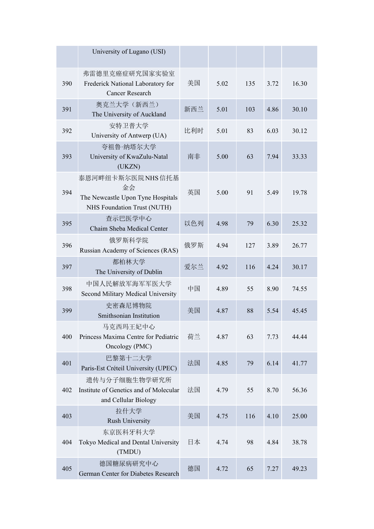|     | University of Lugano (USI)                                                                 |     |      |     |      |       |
|-----|--------------------------------------------------------------------------------------------|-----|------|-----|------|-------|
| 390 | 弗雷德里克癌症研究国家实验室<br>Frederick National Laboratory for<br><b>Cancer Research</b>              | 美国  | 5.02 | 135 | 3.72 | 16.30 |
| 391 | 奥克兰大学(新西兰)<br>The University of Auckland                                                   | 新西兰 | 5.01 | 103 | 4.86 | 30.10 |
| 392 | 安特卫普大学<br>University of Antwerp (UA)                                                       | 比利时 | 5.01 | 83  | 6.03 | 30.12 |
| 393 | 夸祖鲁·纳塔尔大学<br>University of KwaZulu-Natal<br>(UKZN)                                         | 南非  | 5.00 | 63  | 7.94 | 33.33 |
| 394 | 泰恩河畔纽卡斯尔医院NHS信托基<br>金会<br>The Newcastle Upon Tyne Hospitals<br>NHS Foundation Trust (NUTH) | 英国  | 5.00 | 91  | 5.49 | 19.78 |
| 395 | 查示巴医学中心<br>Chaim Sheba Medical Center                                                      | 以色列 | 4.98 | 79  | 6.30 | 25.32 |
| 396 | 俄罗斯科学院<br>Russian Academy of Sciences (RAS)                                                | 俄罗斯 | 4.94 | 127 | 3.89 | 26.77 |
| 397 | 都柏林大学<br>The University of Dublin                                                          | 爱尔兰 | 4.92 | 116 | 4.24 | 30.17 |
| 398 | 中国人民解放军海军军医大学<br>Second Military Medical University                                        | 中国  | 4.89 | 55  | 8.90 | 74.55 |
| 399 | 史密森尼博物院<br>Smithsonian Institution                                                         | 美国  | 4.87 | 88  | 5.54 | 45.45 |
| 400 | 马克西玛王妃中心<br>Princess Maxima Centre for Pediatric<br>Oncology (PMC)                         | 荷兰  | 4.87 | 63  | 7.73 | 44.44 |
| 401 | 巴黎第十二大学<br>Paris-Est Créteil University (UPEC)                                             | 法国  | 4.85 | 79  | 6.14 | 41.77 |
| 402 | 遗传与分子细胞生物学研究所<br>Institute of Genetics and of Molecular<br>and Cellular Biology            | 法国  | 4.79 | 55  | 8.70 | 56.36 |
| 403 | 拉什大学<br>Rush University                                                                    | 美国  | 4.75 | 116 | 4.10 | 25.00 |
| 404 | 东京医科牙科大学<br>Tokyo Medical and Dental University<br>(TMDU)                                  | 日本  | 4.74 | 98  | 4.84 | 38.78 |
| 405 | 德国糖尿病研究中心<br>German Center for Diabetes Research                                           | 德国  | 4.72 | 65  | 7.27 | 49.23 |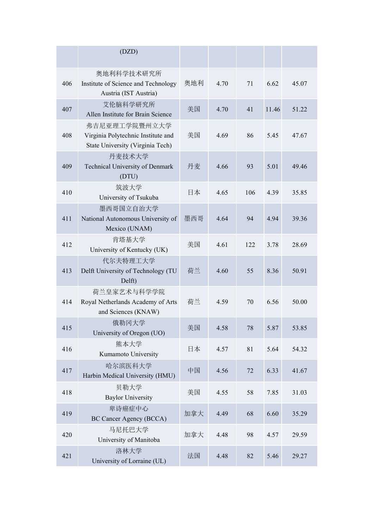|     | (DZD)                                                                                   |     |      |        |       |       |
|-----|-----------------------------------------------------------------------------------------|-----|------|--------|-------|-------|
| 406 | 奥地利科学技术研究所<br>Institute of Science and Technology<br>Austria (IST Austria)              | 奥地利 | 4.70 | 71     | 6.62  | 45.07 |
| 407 | 艾伦脑科学研究所<br>Allen Institute for Brain Science                                           | 美国  | 4.70 | 41     | 11.46 | 51.22 |
| 408 | 弗吉尼亚理工学院暨州立大学<br>Virginia Polytechnic Institute and<br>State University (Virginia Tech) | 美国  | 4.69 | 86     | 5.45  | 47.67 |
| 409 | 丹麦技术大学<br>Technical University of Denmark<br>(DTU)                                      | 丹麦  | 4.66 | 93     | 5.01  | 49.46 |
| 410 | 筑波大学<br>University of Tsukuba                                                           | 日本  | 4.65 | 106    | 4.39  | 35.85 |
| 411 | 墨西哥国立自治大学<br>National Autonomous University of<br>Mexico (UNAM)                         | 墨西哥 | 4.64 | 94     | 4.94  | 39.36 |
| 412 | 肯塔基大学<br>University of Kentucky (UK)                                                    | 美国  | 4.61 | 122    | 3.78  | 28.69 |
| 413 | 代尔夫特理工大学<br>Delft University of Technology (TU<br>Delft)                                | 荷兰  | 4.60 | 55     | 8.36  | 50.91 |
| 414 | 荷兰皇家艺术与科学学院<br>Royal Netherlands Academy of Arts<br>and Sciences (KNAW)                 | 荷兰  | 4.59 | 70     | 6.56  | 50.00 |
| 415 | 俄勒冈大学<br>University of Oregon (UO)                                                      | 美国  | 4.58 | $78\,$ | 5.87  | 53.85 |
| 416 | 熊本大学<br>Kumamoto University                                                             | 日本  | 4.57 | 81     | 5.64  | 54.32 |
| 417 | 哈尔滨医科大学<br>Harbin Medical University (HMU)                                              | 中国  | 4.56 | 72     | 6.33  | 41.67 |
| 418 | 贝勒大学<br><b>Baylor University</b>                                                        | 美国  | 4.55 | 58     | 7.85  | 31.03 |
| 419 | 卑诗癌症中心<br>BC Cancer Agency (BCCA)                                                       | 加拿大 | 4.49 | 68     | 6.60  | 35.29 |
| 420 | 马尼托巴大学<br>University of Manitoba                                                        | 加拿大 | 4.48 | 98     | 4.57  | 29.59 |
| 421 | 洛林大学<br>University of Lorraine (UL)                                                     | 法国  | 4.48 | 82     | 5.46  | 29.27 |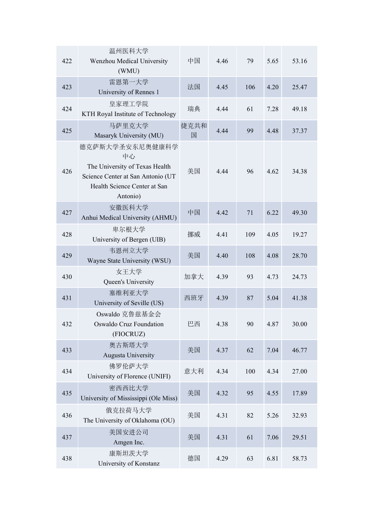| 422 | 温州医科大学<br>Wenzhou Medical University<br>(WMU)                                                                                            | 中国        | 4.46 | 79  | 5.65 | 53.16 |
|-----|------------------------------------------------------------------------------------------------------------------------------------------|-----------|------|-----|------|-------|
| 423 | 雷恩第一大学<br>University of Rennes 1                                                                                                         | 法国        | 4.45 | 106 | 4.20 | 25.47 |
| 424 | 皇家理工学院<br>KTH Royal Institute of Technology                                                                                              | 瑞典        | 4.44 | 61  | 7.28 | 49.18 |
| 425 | 马萨里克大学<br>Masaryk University (MU)                                                                                                        | 捷克共和<br>国 | 4.44 | 99  | 4.48 | 37.37 |
| 426 | 德克萨斯大学圣安东尼奥健康科学<br>中心<br>The University of Texas Health<br>Science Center at San Antonio (UT<br>Health Science Center at San<br>Antonio) | 美国        | 4.44 | 96  | 4.62 | 34.38 |
| 427 | 安徽医科大学<br>Anhui Medical University (AHMU)                                                                                                | 中国        | 4.42 | 71  | 6.22 | 49.30 |
| 428 | 卑尔根大学<br>University of Bergen (UIB)                                                                                                      | 挪威        | 4.41 | 109 | 4.05 | 19.27 |
| 429 | 韦恩州立大学<br>Wayne State University (WSU)                                                                                                   | 美国        | 4.40 | 108 | 4.08 | 28.70 |
| 430 | 女王大学<br>Queen's University                                                                                                               | 加拿大       | 4.39 | 93  | 4.73 | 24.73 |
| 431 | 塞维利亚大学<br>University of Seville (US)                                                                                                     | 西班牙       | 4.39 | 87  | 5.04 | 41.38 |
| 432 | Oswaldo 克鲁兹基金会<br>Oswaldo Cruz Foundation<br>(FIOCRUZ)                                                                                   | 巴西        | 4.38 | 90  | 4.87 | 30.00 |
| 433 | 奥古斯塔大学<br>Augusta University                                                                                                             | 美国        | 4.37 | 62  | 7.04 | 46.77 |
| 434 | 佛罗伦萨大学<br>University of Florence (UNIFI)                                                                                                 | 意大利       | 4.34 | 100 | 4.34 | 27.00 |
| 435 | 密西西比大学<br>University of Mississippi (Ole Miss)                                                                                           | 美国        | 4.32 | 95  | 4.55 | 17.89 |
| 436 | 俄克拉荷马大学<br>The University of Oklahoma (OU)                                                                                               | 美国        | 4.31 | 82  | 5.26 | 32.93 |
| 437 | 美国安进公司<br>Amgen Inc.                                                                                                                     | 美国        | 4.31 | 61  | 7.06 | 29.51 |
| 438 | 康斯坦茨大学<br>University of Konstanz                                                                                                         | 德国        | 4.29 | 63  | 6.81 | 58.73 |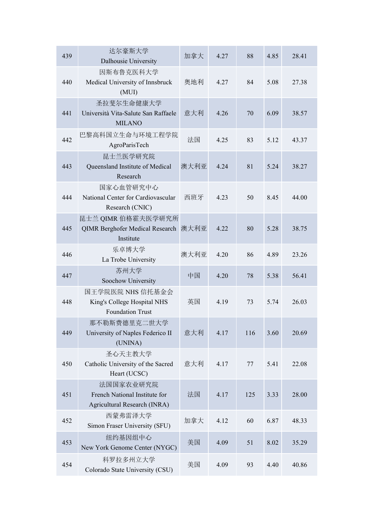| 439 | 达尔豪斯大学<br>Dalhousie University                                             | 加拿大  | 4.27 | 88  | 4.85 | 28.41 |
|-----|----------------------------------------------------------------------------|------|------|-----|------|-------|
| 440 | 因斯布鲁克医科大学<br>Medical University of Innsbruck<br>(MUI)                      | 奥地利  | 4.27 | 84  | 5.08 | 27.38 |
| 441 | 圣拉斐尔生命健康大学<br>Università Vita-Salute San Raffaele<br><b>MILANO</b>         | 意大利  | 4.26 | 70  | 6.09 | 38.57 |
| 442 | 巴黎高科国立生命与环境工程学院<br>AgroParisTech                                           | 法国   | 4.25 | 83  | 5.12 | 43.37 |
| 443 | 昆士兰医学研究院<br>Queensland Institute of Medical<br>Research                    | 澳大利亚 | 4.24 | 81  | 5.24 | 38.27 |
| 444 | 国家心血管研究中心<br>National Center for Cardiovascular<br>Research (CNIC)         | 西班牙  | 4.23 | 50  | 8.45 | 44.00 |
| 445 | 昆士兰 QIMR 伯格霍夫医学研究所<br>QIMR Berghofer Medical Research 澳大利亚<br>Institute    |      | 4.22 | 80  | 5.28 | 38.75 |
| 446 | 乐卓博大学<br>La Trobe University                                               | 澳大利亚 | 4.20 | 86  | 4.89 | 23.26 |
| 447 | 苏州大学<br>Soochow University                                                 | 中国   | 4.20 | 78  | 5.38 | 56.41 |
| 448 | 国王学院医院 NHS 信托基金会<br>King's College Hospital NHS<br><b>Foundation Trust</b> | 英国   | 4.19 | 73  | 5.74 | 26.03 |
| 449 | 那不勒斯费德里克二世大学<br>University of Naples Federico II<br>(UNINA)                | 意大利  | 4.17 | 116 | 3.60 | 20.69 |
| 450 | 圣心天主教大学<br>Catholic University of the Sacred<br>Heart (UCSC)               | 意大利  | 4.17 | 77  | 5.41 | 22.08 |
| 451 | 法国国家农业研究院<br>French National Institute for<br>Agricultural Research (INRA) | 法国   | 4.17 | 125 | 3.33 | 28.00 |
| 452 | 西蒙弗雷泽大学<br>Simon Fraser University (SFU)                                   | 加拿大  | 4.12 | 60  | 6.87 | 48.33 |
| 453 | 纽约基因组中心<br>New York Genome Center (NYGC)                                   | 美国   | 4.09 | 51  | 8.02 | 35.29 |
| 454 | 科罗拉多州立大学<br>Colorado State University (CSU)                                | 美国   | 4.09 | 93  | 4.40 | 40.86 |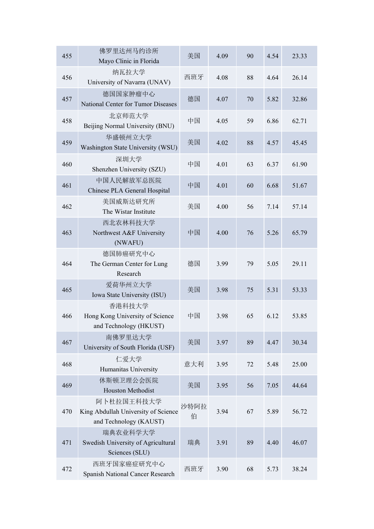| 455 | 佛罗里达州马约诊所<br>Mayo Clinic in Florida                                         | 美国        | 4.09 | 90 | 4.54 | 23.33 |
|-----|-----------------------------------------------------------------------------|-----------|------|----|------|-------|
| 456 | 纳瓦拉大学<br>University of Navarra (UNAV)                                       | 西班牙       | 4.08 | 88 | 4.64 | 26.14 |
| 457 | 德国国家肿瘤中心<br>National Center for Tumor Diseases                              | 德国        | 4.07 | 70 | 5.82 | 32.86 |
| 458 | 北京师范大学<br>Beijing Normal University (BNU)                                   | 中国        | 4.05 | 59 | 6.86 | 62.71 |
| 459 | 华盛顿州立大学<br>Washington State University (WSU)                                | 美国        | 4.02 | 88 | 4.57 | 45.45 |
| 460 | 深圳大学<br>Shenzhen University (SZU)                                           | 中国        | 4.01 | 63 | 6.37 | 61.90 |
| 461 | 中国人民解放军总医院<br>Chinese PLA General Hospital                                  | 中国        | 4.01 | 60 | 6.68 | 51.67 |
| 462 | 美国威斯达研究所<br>The Wistar Institute                                            | 美国        | 4.00 | 56 | 7.14 | 57.14 |
| 463 | 西北农林科技大学<br>Northwest A&F University<br>(NWAFU)                             | 中国        | 4.00 | 76 | 5.26 | 65.79 |
| 464 | 德国肺癌研究中心<br>The German Center for Lung<br>Research                          | 德国        | 3.99 | 79 | 5.05 | 29.11 |
| 465 | 爱荷华州立大学<br>Iowa State University (ISU)                                      | 美国        | 3.98 | 75 | 5.31 | 53.33 |
| 466 | 香港科技大学<br>Hong Kong University of Science<br>and Technology (HKUST)         | 中国        | 3.98 | 65 | 6.12 | 53.85 |
| 467 | 南佛罗里达大学<br>University of South Florida (USF)                                | 美国        | 3.97 | 89 | 4.47 | 30.34 |
| 468 | 仁爱大学<br>Humanitas University                                                | 意大利       | 3.95 | 72 | 5.48 | 25.00 |
| 469 | 休斯顿卫理公会医院<br><b>Houston Methodist</b>                                       | 美国        | 3.95 | 56 | 7.05 | 44.64 |
| 470 | 阿卜杜拉国王科技大学<br>King Abdullah University of Science<br>and Technology (KAUST) | 沙特阿拉<br>伯 | 3.94 | 67 | 5.89 | 56.72 |
| 471 | 瑞典农业科学大学<br>Swedish University of Agricultural<br>Sciences (SLU)            | 瑞典        | 3.91 | 89 | 4.40 | 46.07 |
| 472 | 西班牙国家癌症研究中心<br>Spanish National Cancer Research                             | 西班牙       | 3.90 | 68 | 5.73 | 38.24 |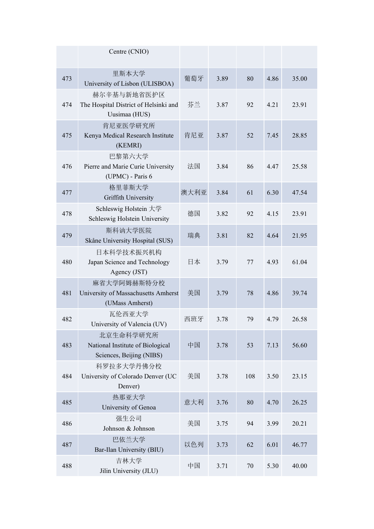|     | Centre (CNIO)                                                             |      |      |     |      |       |
|-----|---------------------------------------------------------------------------|------|------|-----|------|-------|
| 473 | 里斯本大学<br>University of Lisbon (ULISBOA)                                   | 葡萄牙  | 3.89 | 80  | 4.86 | 35.00 |
| 474 | 赫尔辛基与新地省医护区<br>The Hospital District of Helsinki and<br>Uusimaa (HUS)     | 芬兰   | 3.87 | 92  | 4.21 | 23.91 |
| 475 | 肯尼亚医学研究所<br>Kenya Medical Research Institute<br>(KEMRI)                   | 肯尼亚  | 3.87 | 52  | 7.45 | 28.85 |
| 476 | 巴黎第六大学<br>Pierre and Marie Curie University<br>(UPMC) - Paris 6           | 法国   | 3.84 | 86  | 4.47 | 25.58 |
| 477 | 格里菲斯大学<br>Griffith University                                             | 澳大利亚 | 3.84 | 61  | 6.30 | 47.54 |
| 478 | Schleswig Holstein 大学<br>Schleswig Holstein University                    | 德国   | 3.82 | 92  | 4.15 | 23.91 |
| 479 | 斯科讷大学医院<br>Skåne University Hospital (SUS)                                | 瑞典   | 3.81 | 82  | 4.64 | 21.95 |
| 480 | 日本科学技术振兴机构<br>Japan Science and Technology<br>Agency (JST)                | 日本   | 3.79 | 77  | 4.93 | 61.04 |
| 481 | 麻省大学阿姆赫斯特分校<br>University of Massachusetts Amherst<br>(UMass Amherst)     | 美国   | 3.79 | 78  | 4.86 | 39.74 |
| 482 | 瓦伦西亚大学<br>University of Valencia (UV)                                     | 西班牙  | 3.78 | 79  | 4.79 | 26.58 |
| 483 | 北京生命科学研究所<br>National Institute of Biological<br>Sciences, Beijing (NIBS) | 中国   | 3.78 | 53  | 7.13 | 56.60 |
| 484 | 科罗拉多大学丹佛分校<br>University of Colorado Denver (UC<br>Denver)                | 美国   | 3.78 | 108 | 3.50 | 23.15 |
| 485 | 热那亚大学<br>University of Genoa                                              | 意大利  | 3.76 | 80  | 4.70 | 26.25 |
| 486 | 强生公司<br>Johnson & Johnson                                                 | 美国   | 3.75 | 94  | 3.99 | 20.21 |
| 487 | 巴依兰大学<br>Bar-Ilan University (BIU)                                        | 以色列  | 3.73 | 62  | 6.01 | 46.77 |
| 488 | 吉林大学<br>Jilin University (JLU)                                            | 中国   | 3.71 | 70  | 5.30 | 40.00 |